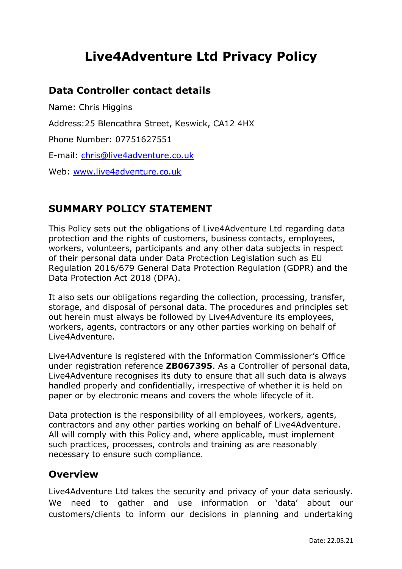# **Live4Adventure Ltd Privacy Policy**

## **Data Controller contact details**

Name: Chris Higgins Address:25 Blencathra Street, Keswick, CA12 4HX Phone Number: 07751627551 E-mail: [chris@live4adventure.co.uk](mailto:chris@live4adventure.co.uk) Web: [www.live4adventure.co.uk](http://www.live4adventure.co.uk/)

## **SUMMARY POLICY STATEMENT**

This Policy sets out the obligations of Live4Adventure Ltd regarding data protection and the rights of customers, business contacts, employees, workers, volunteers, participants and any other data subjects in respect of their personal data under Data Protection Legislation such as EU Regulation 2016/679 General Data Protection Regulation (GDPR) and the Data Protection Act 2018 (DPA).

It also sets our obligations regarding the collection, processing, transfer, storage, and disposal of personal data. The procedures and principles set out herein must always be followed by Live4Adventure its employees, workers, agents, contractors or any other parties working on behalf of Live4Adventure.

Live4Adventure is registered with the Information Commissioner's Office under registration reference **ZB067395**. As a Controller of personal data, Live4Adventure recognises its duty to ensure that all such data is always handled properly and confidentially, irrespective of whether it is held on paper or by electronic means and covers the whole lifecycle of it.

Data protection is the responsibility of all employees, workers, agents, contractors and any other parties working on behalf of Live4Adventure. All will comply with this Policy and, where applicable, must implement such practices, processes, controls and training as are reasonably necessary to ensure such compliance.

## **Overview**

Live4Adventure Ltd takes the security and privacy of your data seriously. We need to gather and use information or 'data' about our customers/clients to inform our decisions in planning and undertaking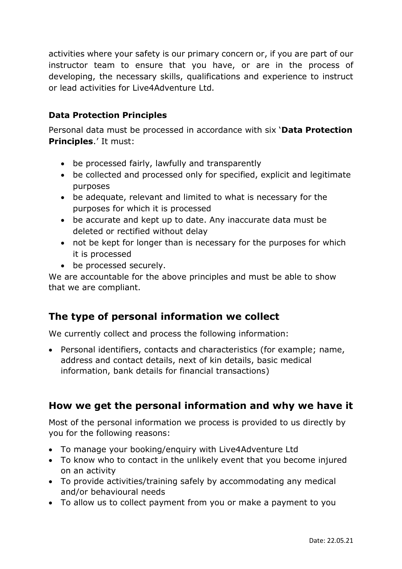activities where your safety is our primary concern or, if you are part of our instructor team to ensure that you have, or are in the process of developing, the necessary skills, qualifications and experience to instruct or lead activities for Live4Adventure Ltd.

#### **Data Protection Principles**

Personal data must be processed in accordance with six '**Data Protection Principles**.' It must:

- be processed fairly, lawfully and transparently
- be collected and processed only for specified, explicit and legitimate purposes
- be adequate, relevant and limited to what is necessary for the purposes for which it is processed
- be accurate and kept up to date. Any inaccurate data must be deleted or rectified without delay
- not be kept for longer than is necessary for the purposes for which it is processed
- be processed securely.

We are accountable for the above principles and must be able to show that we are compliant.

# **The type of personal information we collect**

We currently collect and process the following information:

• Personal identifiers, contacts and characteristics (for example; name, address and contact details, next of kin details, basic medical information, bank details for financial transactions)

# **How we get the personal information and why we have it**

Most of the personal information we process is provided to us directly by you for the following reasons:

- To manage your booking/enquiry with Live4Adventure Ltd
- To know who to contact in the unlikely event that you become injured on an activity
- To provide activities/training safely by accommodating any medical and/or behavioural needs
- To allow us to collect payment from you or make a payment to you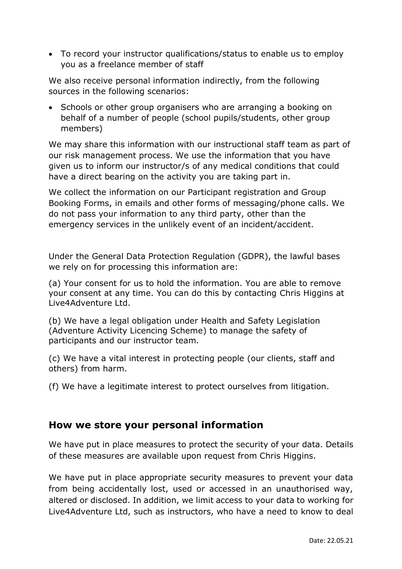• To record your instructor qualifications/status to enable us to employ you as a freelance member of staff

We also receive personal information indirectly, from the following sources in the following scenarios:

• Schools or other group organisers who are arranging a booking on behalf of a number of people (school pupils/students, other group members)

We may share this information with our instructional staff team as part of our risk management process. We use the information that you have given us to inform our instructor/s of any medical conditions that could have a direct bearing on the activity you are taking part in.

We collect the information on our Participant registration and Group Booking Forms, in emails and other forms of messaging/phone calls. We do not pass your information to any third party, other than the emergency services in the unlikely event of an incident/accident.

Under the General Data Protection Regulation (GDPR), the lawful bases we rely on for processing this information are:

(a) Your consent for us to hold the information. You are able to remove your consent at any time. You can do this by contacting Chris Higgins at Live4Adventure Ltd.

(b) We have a legal obligation under Health and Safety Legislation (Adventure Activity Licencing Scheme) to manage the safety of participants and our instructor team.

(c) We have a vital interest in protecting people (our clients, staff and others) from harm.

(f) We have a legitimate interest to protect ourselves from litigation.

## **How we store your personal information**

We have put in place measures to protect the security of your data. Details of these measures are available upon request from Chris Higgins.

We have put in place appropriate security measures to prevent your data from being accidentally lost, used or accessed in an unauthorised way, altered or disclosed. In addition, we limit access to your data to working for Live4Adventure Ltd, such as instructors, who have a need to know to deal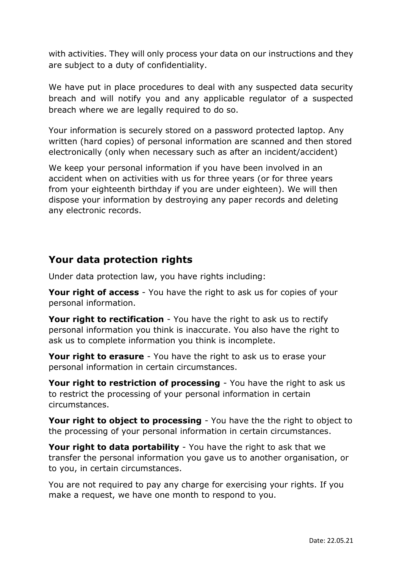with activities. They will only process your data on our instructions and they are subject to a duty of confidentiality.

We have put in place procedures to deal with any suspected data security breach and will notify you and any applicable regulator of a suspected breach where we are legally required to do so.

Your information is securely stored on a password protected laptop. Any written (hard copies) of personal information are scanned and then stored electronically (only when necessary such as after an incident/accident)

We keep your personal information if you have been involved in an accident when on activities with us for three years (or for three years from your eighteenth birthday if you are under eighteen). We will then dispose your information by destroying any paper records and deleting any electronic records.

## **Your data protection rights**

Under data protection law, you have rights including:

**Your right of access** - You have the right to ask us for copies of your personal information.

**Your right to rectification** - You have the right to ask us to rectify personal information you think is inaccurate. You also have the right to ask us to complete information you think is incomplete.

**Your right to erasure** - You have the right to ask us to erase your personal information in certain circumstances.

**Your right to restriction of processing** - You have the right to ask us to restrict the processing of your personal information in certain circumstances.

**Your right to object to processing** - You have the the right to object to the processing of your personal information in certain circumstances.

**Your right to data portability** - You have the right to ask that we transfer the personal information you gave us to another organisation, or to you, in certain circumstances.

You are not required to pay any charge for exercising your rights. If you make a request, we have one month to respond to you.